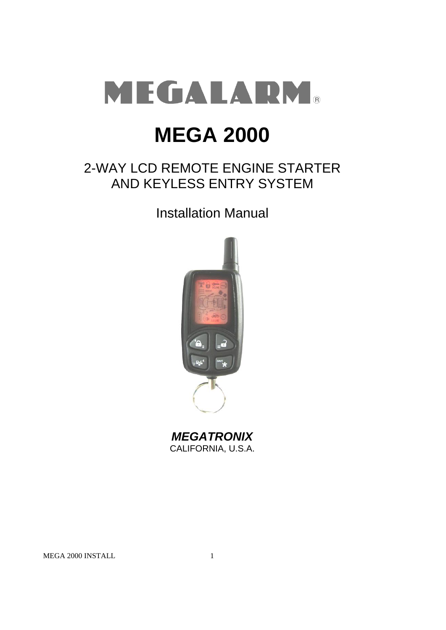

# **MEGA 2000**

## 2-WAY LCD REMOTE ENGINE STARTER AND KEYLESS ENTRY SYSTEM

Installation Manual



*MEGATRONIX* CALIFORNIA, U.S.A.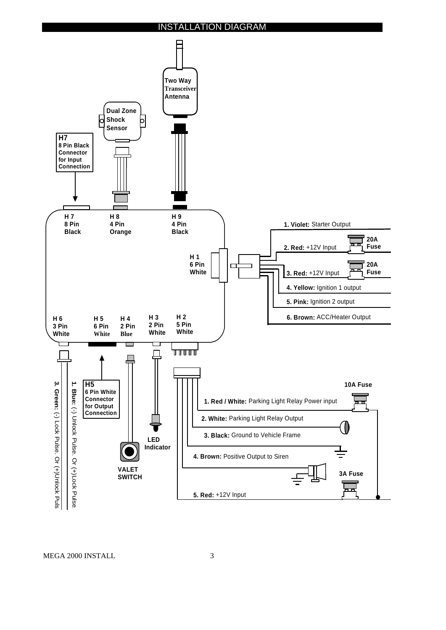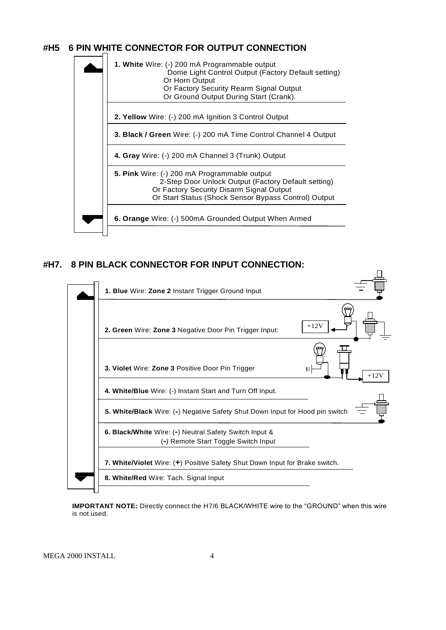## **#H5 6 PIN WHITE CONNECTOR FOR OUTPUT CONNECTION**



#### **#H7. 8 PIN BLACK CONNECTOR FOR INPUT CONNECTION:**



**IMPORTANT NOTE:** Directly connect the H7/6 BLACK/WHITE wire to the "GROUND" when this wire is not used.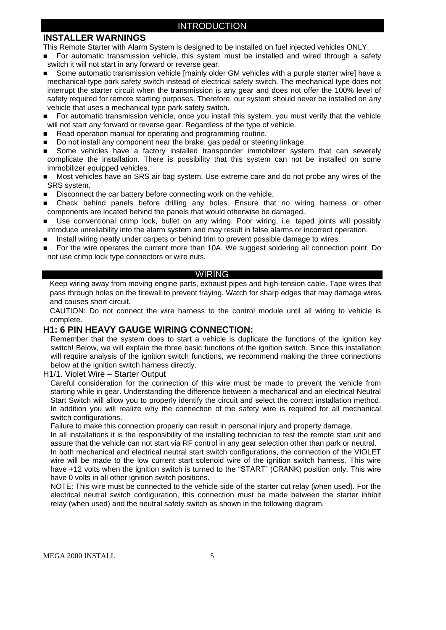## **INSTALLER WARNINGS**

This Remote Starter with Alarm System is designed to be installed on fuel injected vehicles ONLY.

- For automatic transmission vehicle, this system must be installed and wired through a safety switch it will not start in any forward or reverse gear.
- Some automatic transmission vehicle [mainly older GM vehicles with a purple starter wire] have a mechanical-type park safety switch instead of electrical safety switch. The mechanical type does not interrupt the starter circuit when the transmission is any gear and does not offer the 100% level of safety required for remote starting purposes. Therefore, our system should never be installed on any vehicle that uses a mechanical type park safety switch.
- **For automatic transmission vehicle, once you install this system, you must verify that the vehicle** will not start any forward or reverse gear. Regardless of the type of vehicle.
- Read operation manual for operating and programming routine.
- Do not install any component near the brake, gas pedal or steering linkage.
- Some vehicles have a factory installed transponder immobilizer system that can severely complicate the installation. There is possibility that this system can not be installed on some immobilizer equipped vehicles.
- Most vehicles have an SRS air bag system. Use extreme care and do not probe any wires of the SRS system.
- Disconnect the car battery before connecting work on the vehicle.
- Check behind panels before drilling any holes. Ensure that no wiring harness or other components are located behind the panels that would otherwise be damaged.
- Use conventional crimp lock, bullet on any wiring. Poor wiring, i.e. taped joints will possibly introduce unreliability into the alarm system and may result in false alarms or incorrect operation.
- Install wiring neatly under carpets or behind trim to prevent possible damage to wires.
- For the wire operates the current more than 10A. We suggest soldering all connection point. Do not use crimp lock type connectors or wire nuts.

#### WIRING

Keep wiring away from moving engine parts, exhaust pipes and high-tension cable. Tape wires that pass through holes on the firewall to prevent fraying. Watch for sharp edges that may damage wires and causes short circuit.

CAUTION: Do not connect the wire harness to the control module until all wiring to vehicle is complete.

#### **H1: 6 PIN HEAVY GAUGE WIRING CONNECTION:**

Remember that the system does to start a vehicle is duplicate the functions of the ignition key switch! Below, we will explain the three basic functions of the ignition switch. Since this installation will require analysis of the ignition switch functions, we recommend making the three connections below at the ignition switch harness directly.

H1/1. Violet Wire – Starter Output

Careful consideration for the connection of this wire must be made to prevent the vehicle from starting while in gear. Understanding the difference between a mechanical and an electrical Neutral Start Switch will allow you to properly identify the circuit and select the correct installation method. In addition you will realize why the connection of the safety wire is required for all mechanical switch configurations.

Failure to make this connection properly can result in personal injury and property damage.

In all installations it is the responsibility of the installing technician to test the remote start unit and assure that the vehicle can not start via RF control in any gear selection other than park or neutral. In both mechanical and electrical neutral start switch configurations, the connection of the VIOLET wire will be made to the low current start solenoid wire of the ignition switch harness. This wire have +12 volts when the ignition switch is turned to the "START" (CRANK) position only. This wire have 0 volts in all other ignition switch positions.

NOTE: This wire must be connected to the vehicle side of the starter cut relay (when used). For the electrical neutral switch configuration, this connection must be made between the starter inhibit relay (when used) and the neutral safety switch as shown in the following diagram.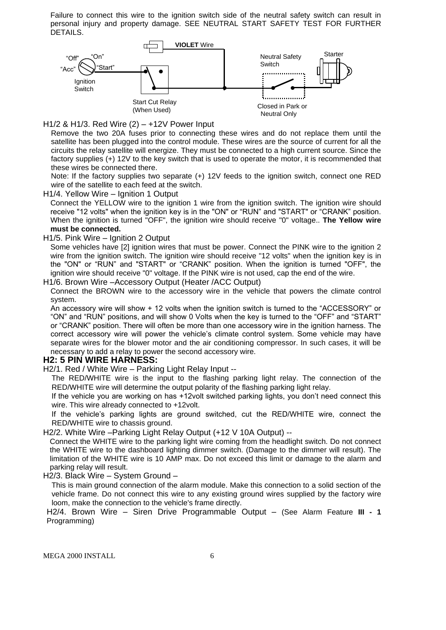Failure to connect this wire to the ignition switch side of the neutral safety switch can result in personal injury and property damage. SEE NEUTRAL START SAFETY TEST FOR FURTHER DETAILS.



H1/2 & H1/3. Red Wire (2) – +12V Power Input

Remove the two 20A fuses prior to connecting these wires and do not replace them until the satellite has been plugged into the control module. These wires are the source of current for all the circuits the relay satellite will energize. They must be connected to a high current source. Since the factory supplies (+) 12V to the key switch that is used to operate the motor, it is recommended that these wires be connected there.

Note: If the factory supplies two separate (+) 12V feeds to the ignition switch, connect one RED wire of the satellite to each feed at the switch.

H1/4. Yellow Wire – Ignition 1 Output

Connect the YELLOW wire to the ignition 1 wire from the ignition switch. The ignition wire should receive "12 volts" when the ignition key is in the "ON" or "RUN" and "START" or "CRANK" position. When the ignition is turned "OFF", the ignition wire should receive "0" voltage.. **The Yellow wire must be connected.**

#### H1/5. Pink Wire – Ignition 2 Output

Some vehicles have [2] ignition wires that must be power. Connect the PINK wire to the ignition 2 wire from the ignition switch. The ignition wire should receive "12 volts" when the ignition key is in the "ON" or "RUN" and "START" or "CRANK" position. When the ignition is turned "OFF", the ignition wire should receive "0" voltage. If the PINK wire is not used, cap the end of the wire.

H1/6. Brown Wire –Accessory Output (Heater /ACC Output)

Connect the BROWN wire to the accessory wire in the vehicle that powers the climate control system.

An accessory wire will show + 12 volts when the ignition switch is turned to the "ACCESSORY" or "ON" and "RUN" positions, and will show 0 Volts when the key is turned to the "OFF" and "START" or "CRANK" position. There will often be more than one accessory wire in the ignition harness. The correct accessory wire will power the vehicle's climate control system. Some vehicle may have separate wires for the blower motor and the air conditioning compressor. In such cases, it will be necessary to add a relay to power the second accessory wire.

#### **H2: 5 PIN WIRE HARNESS:**

H2/1. Red / White Wire – Parking Light Relay Input --

The RED/WHITE wire is the input to the flashing parking light relay. The connection of the RED/WHITE wire will determine the output polarity of the flashing parking light relay.

If the vehicle you are working on has +12volt switched parking lights, you don't need connect this wire. This wire already connected to +12volt.

If the vehicle's parking lights are ground switched, cut the RED/WHITE wire, connect the RED/WHITE wire to chassis ground.

H2/2. White Wire –Parking Light Relay Output (+12 V 10A Output) --

Connect the WHITE wire to the parking light wire coming from the headlight switch. Do not connect the WHITE wire to the dashboard lighting dimmer switch. (Damage to the dimmer will result). The limitation of the WHITE wire is 10 AMP max. Do not exceed this limit or damage to the alarm and parking relay will result.

H2/3. Black Wire – System Ground –

This is main ground connection of the alarm module. Make this connection to a solid section of the vehicle frame. Do not connect this wire to any existing ground wires supplied by the factory wire loom, make the connection to the vehicle's frame directly.

H2/4. Brown Wire – Siren Drive Programmable Output – (See Alarm Feature **III - 1** Programming)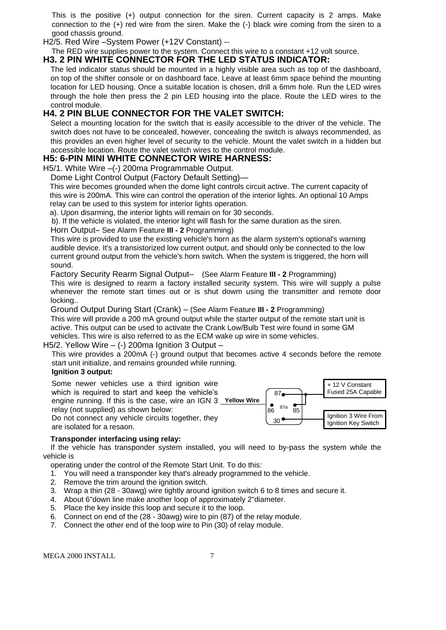This is the positive (+) output connection for the siren. Current capacity is 2 amps. Make connection to the (+) red wire from the siren. Make the (-) black wire coming from the siren to a good chassis ground.

H2/5. Red Wire –System Power (+12V Constant) --

#### The RED wire supplies power to the system. Connect this wire to a constant +12 volt source. **H3. 2 PIN WHITE CONNECTOR FOR THE LED STATUS INDICATOR:**

The led indicator status should be mounted in a highly visible area such as top of the dashboard, on top of the shifter console or on dashboard face. Leave at least 6mm space behind the mounting location for LED housing. Once a suitable location is chosen, drill a 6mm hole. Run the LED wires through the hole then press the 2 pin LED housing into the place. Route the LED wires to the control module.

## **H4. 2 PIN BLUE CONNECTOR FOR THE VALET SWITCH:**

Select a mounting location for the switch that is easily accessible to the driver of the vehicle. The switch does not have to be concealed, however, concealing the switch is always recommended, as this provides an even higher level of security to the vehicle. Mount the valet switch in a hidden but accessible location. Route the valet switch wires to the control module.

## **H5: 6-PIN MINI WHITE CONNECTOR WIRE HARNESS:**

H5/1. White Wire –(-) 200ma Programmable Output.

Dome Light Control Output (Factory Default Setting)—

This wire becomes grounded when the dome light controls circuit active. The current capacity of this wire is 200mA. This wire can control the operation of the interior lights. An optional 10 Amps relay can be used to this system for interior lights operation.

a). Upon disarming, the interior lights will remain on for 30 seconds.

b). If the vehicle is violated, the interior light will flash for the same duration as the siren.

#### Horn Output– See Alarm Feature **III - 2** Programming)

This wire is provided to use the existing vehicle's horn as the alarm system's optional's warning audible device. It's a transistorized low current output, and should only be connected to the low current ground output from the vehicle's horn switch. When the system is triggered, the horn will sound.

Factory Security Rearm Signal Output– (See Alarm Feature **III - 2** Programming)

This wire is designed to rearm a factory installed security system. This wire will supply a pulse whenever the remote start times out or is shut dowm using the transmitter and remote door locking..

Ground Output During Start (Crank) – (See Alarm Feature **III - 2** Programming)

This wire will provide a 200 mA ground output while the starter output of the remote start unit is active. This output can be used to activate the Crank Low/Bulb Test wire found in some GM vehicles. This wire is also referred to as the ECM wake up wire in some vehicles.

#### H5/2. Yellow Wire  $-$  (-) 200ma Ignition 3 Output  $-$

This wire provides a 200mA (-) ground output that becomes active 4 seconds before the remote start unit initialize, and remains grounded while running.

#### **Ignition 3 output:**

Some newer vehicles use a third ignition wire which is required to start and keep the vehicle's engine running. If this is the case, wire an IGN 3 **Yellow Wire** relay (not supplied) as shown below: Do not connect any vehicle circuits together, they are isolated for a resaon.



#### **Transponder interfacing using relay:**

 If the vehicle has transponder system installed, you will need to by-pass the system while the vehicle is

operating under the control of the Remote Start Unit. To do this:

- 1. You will need a transponder key that's already programmed to the vehicle.
- 2. Remove the trim around the ignition switch.
- 3. Wrap a thin (28 30awg) wire tightly around ignition switch 6 to 8 times and secure it.
- 4. About 6"down line make another loop of approximately 2"diameter.
- 5. Place the key inside this loop and secure it to the loop.
- 6. Connect on end of the (28 30awg) wire to pin (87) of the relay module.
- 7. Connect the other end of the loop wire to Pin (30) of relay module.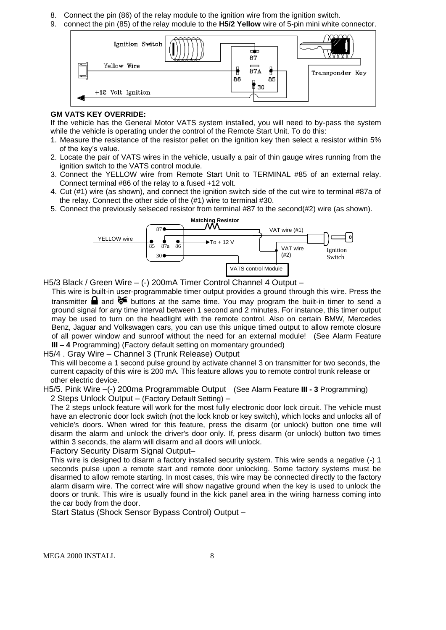- 8. Connect the pin (86) of the relay module to the ignition wire from the ignition switch.
- 9. connect the pin (85) of the relay module to the **H5/2 Yellow** wire of 5-pin mini white connector.



#### **GM VATS KEY OVERRIDE:**

If the vehicle has the General Motor VATS system installed, you will need to by-pass the system while the vehicle is operating under the control of the Remote Start Unit. To do this:

- 1. Measure the resistance of the resistor pellet on the ignition key then select a resistor within 5% of the key's value.
- 2. Locate the pair of VATS wires in the vehicle, usually a pair of thin gauge wires running from the ignition switch to the VATS control module.
- 3. Connect the YELLOW wire from Remote Start Unit to TERMINAL #85 of an external relay. Connect terminal #86 of the relay to a fused +12 volt.
- 4. Cut (#1) wire (as shown), and connect the ignition switch side of the cut wire to terminal #87a of the relay. Connect the other side of the (#1) wire to terminal #30.
- 5. Connect the previously selseced resistor from terminal #87 to the second(#2) wire (as shown).



H5/3 Black / Green Wire – (-) 200mA Timer Control Channel 4 Output –

This wire is built-in user-programmable timer output provides a ground through this wire. Press the transmitter **a** and  $\mathcal{F}$  buttons at the same time. You may program the built-in timer to send a ground signal for any time interval between 1 second and 2 minutes. For instance, this timer output may be used to turn on the headlight with the remote control. Also on certain BMW, Mercedes Benz, Jaguar and Volkswagen cars, you can use this unique timed output to allow remote closure of all power window and sunroof without the need for an external module! (See Alarm Feature **III – 4** Programming) (Factory default setting on momentary grounded)

#### H5/4 . Gray Wire – Channel 3 (Trunk Release) Output

This will become a 1 second pulse ground by activate channel 3 on transmitter for two seconds, the current capacity of this wire is 200 mA. This feature allows you to remote control trunk release or other electric device.

H5/5. Pink Wire –(-) 200ma Programmable Output (See Alarm Feature **III - 3** Programming) 2 Steps Unlock Output – (Factory Default Setting) –

The 2 steps unlock feature will work for the most fully electronic door lock circuit. The vehicle must have an electronic door lock switch (not the lock knob or key switch), which locks and unlocks all of vehicle's doors. When wired for this feature, press the disarm (or unlock) button one time will disarm the alarm and unlock the driver's door only. If, press disarm (or unlock) button two times within 3 seconds, the alarm will disarm and all doors will unlock.

Factory Security Disarm Signal Output–

This wire is designed to disarm a factory installed security system. This wire sends a negative (-) 1 seconds pulse upon a remote start and remote door unlocking. Some factory systems must be disarmed to allow remote starting. In most cases, this wire may be connected directly to the factory alarm disarm wire. The correct wire will show nagative ground when the key is used to unlock the doors or trunk. This wire is usually found in the kick panel area in the wiring harness coming into the car body from the door.

Start Status (Shock Sensor Bypass Control) Output –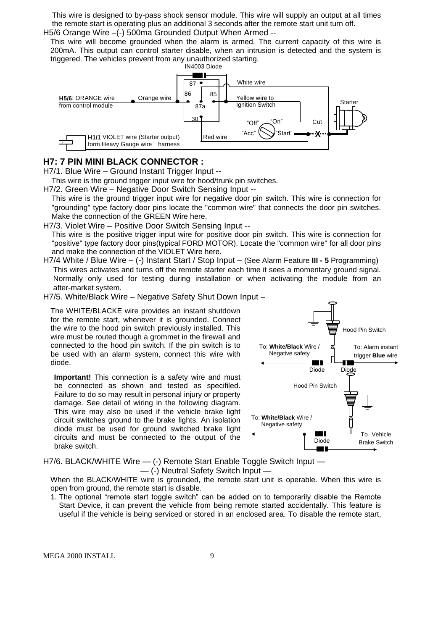This wire is designed to by-pass shock sensor module. This wire will supply an output at all times the remote start is operating plus an additional 3 seconds after the remote start unit turn off. H5/6 Orange Wire -(-) 500ma Grounded Output When Armed --

This wire will become grounded when the alarm is armed. The current capacity of this wire is 200mA. This output can control starter disable, when an intrusion is detected and the system is triggered. The vehicles prevent from any unauthorized starting.



#### **H7: 7 PIN MINI BLACK CONNECTOR :**

H7/1. Blue Wire – Ground Instant Trigger Input --

This wire is the ground trigger input wire for hood/trunk pin switches.

H7/2. Green Wire – Negative Door Switch Sensing Input --

This wire is the ground trigger input wire for negative door pin switch. This wire is connection for "grounding" type factory door pins locate the "common wire" that connects the door pin switches. Make the connection of the GREEN Wire here.

H7/3. Violet Wire – Positive Door Switch Sensing Input --

This wire is the positive trigger input wire for positive door pin switch. This wire is connection for "positive" type factory door pins(typical FORD MOTOR). Locate the "common wire" for all door pins and make the connection of the VIOLET Wire here.

H7/4 White / Blue Wire – (-) Instant Start / Stop Input – (See Alarm Feature **III - 5** Programming) This wires activates and turns off the remote starter each time it sees a momentary ground signal. Normally only used for testing during installation or when activating the module from an after-market system.

H7/5. White/Black Wire – Negative Safety Shut Down Input –

The WHITE/BLACKE wire provides an instant shutdown for the remote start, whenever it is grounded. Connect the wire to the hood pin switch previously installed. This wire must be routed though a grommet in the firewall and connected to the hood pin switch. If the pin switch is to be used with an alarm system, connect this wire with diode.

**Important!** This connection is a safety wire and must be connected as shown and tested as specifiled. Failure to do so may result in personal injury or property damage. See detail of wiring in the following diagram. This wire may also be used if the vehicle brake light circuit switches ground to the brake lights. An isolation diode must be used for ground switched brake light circuits and must be connected to the output of the brake switch.



H7/6. BLACK/WHITE Wire  $-$  (-) Remote Start Enable Toggle Switch Input  $-$ — (-) Neutral Safety Switch Input —

When the BLACK/WHITE wire is grounded, the remote start unit is operable. When this wire is open from ground, the remote start is disable.

1. The optional "remote start toggle switch" can be added on to temporarily disable the Remote Start Device, it can prevent the vehicle from being remote started accidentally. This feature is useful if the vehicle is being serviced or stored in an enclosed area. To disable the remote start,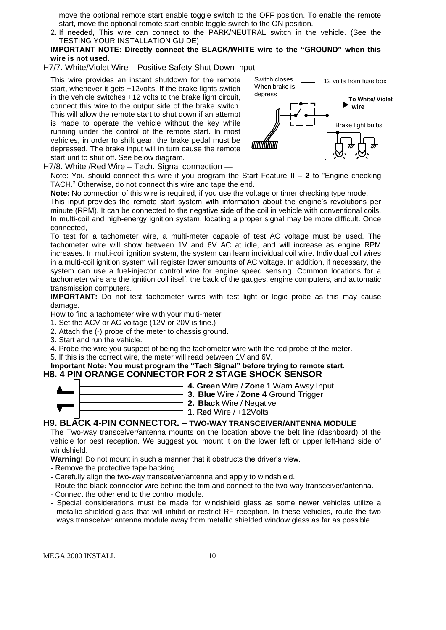move the optional remote start enable toggle switch to the OFF position. To enable the remote start, move the optional remote start enable toggle switch to the ON position.

- 2. If needed, This wire can connect to the PARK/NEUTRAL switch in the vehicle. (See the TESTING YOUR INSTALLATION GUIDE)
- **IMPORTANT NOTE: Directly connect the BLACK/WHITE wire to the "GROUND" when this wire is not used.**
- H7/7. White/Violet Wire Positive Safety Shut Down Input

This wire provides an instant shutdown for the remote start, whenever it gets +12volts. If the brake lights switch in the vehicle switches +12 volts to the brake light circuit, connect this wire to the output side of the brake switch. This will allow the remote start to shut down if an attempt is made to operate the vehicle without the key while running under the control of the remote start. In most vehicles, in order to shift gear, the brake pedal must be depressed. The brake input will in turn cause the remote start unit to shut off. See below diagram.



H7/8. White /Red Wire – Tach. Signal connection —

Note: You should connect this wire if you program the Start Feature **II – 2** to "Engine checking TACH." Otherwise, do not connect this wire and tape the end.

**Note:** No connection of this wire is required, if you use the voltage or timer checking type mode.

This input provides the remote start system with information about the engine's revolutions per minute (RPM). It can be connected to the negative side of the coil in vehicle with conventional coils. In multi-coil and high-energy ignition system, locating a proper signal may be more difficult. Once connected,

To test for a tachometer wire, a multi-meter capable of test AC voltage must be used. The tachometer wire will show between 1V and 6V AC at idle, and will increase as engine RPM increases. In multi-coil ignition system, the system can learn individual coil wire. Individual coil wires in a multi-coil ignition system will register lower amounts of AC voltage. In addition, if necessary, the system can use a fuel-injector control wire for engine speed sensing. Common locations for a tachometer wire are the ignition coil itself, the back of the gauges, engine computers, and automatic transmission computers.

**IMPORTANT:** Do not test tachometer wires with test light or logic probe as this may cause damage.

How to find a tachometer wire with your multi-meter

- 1. Set the ACV or AC voltage (12V or 20V is fine.)
- 2. Attach the (-) probe of the meter to chassis ground.
- 3. Start and run the vehicle.

4. Probe the wire you suspect of being the tachometer wire with the red probe of the meter.

5. If this is the correct wire, the meter will read between 1V and 6V.

#### **Important Note: You must program the "Tach Signal" before trying to remote start. H8. 4 PIN ORANGE CONNECTOR FOR 2 STAGE SHOCK SENSOR**

| 4. Green Wire / Zone 1    |
|---------------------------|
|                           |
| 3. Blue Wire / Zone 4     |
| 2. Black Wire / Negativ   |
|                           |
| 1. Red Wire $/ +12$ Volts |
|                           |

#### **H9. BLACK 4-PIN CONNECTOR. – TWO-WAY TRANSCEIVER/ANTENNA MODULE**

The Two-way transceiver/antenna mounts on the location above the belt line (dashboard) of the vehicle for best reception. We suggest you mount it on the lower left or upper left-hand side of windshield.

**2. Black** Wire / Negative

**4. Green** Wire / **Zone 1** Warn Away Input **3. Blue** Wire / **Zone 4** Ground Trigger

**Warning!** Do not mount in such a manner that it obstructs the driver's view.

- Remove the protective tape backing.
- Carefully align the two-way transceiver/antenna and apply to windshield.
- Route the black connector wire behind the trim and connect to the two-way transceiver/antenna.
- Connect the other end to the control module.
- Special considerations must be made for windshield glass as some newer vehicles utilize a metallic shielded glass that will inhibit or restrict RF reception. In these vehicles, route the two ways transceiver antenna module away from metallic shielded window glass as far as possible.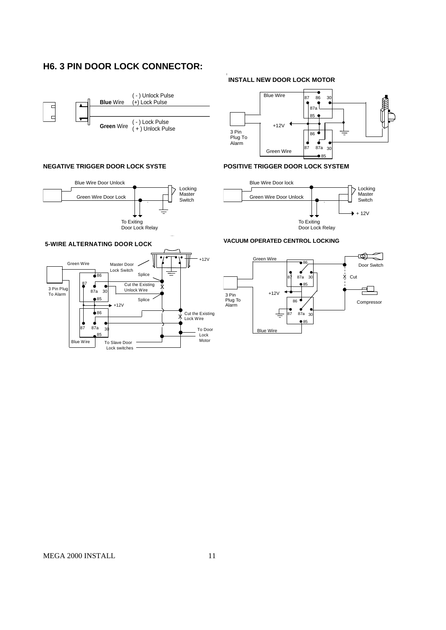## **H6. 3 PIN DOOR LOCK CONNECTOR:**



#### **NEGATIVE TRIGGER DOOR LOCK SYSTE**



## **INSTALL NEW DOOR LOCK MOTOR**



#### **POSITIVE TRIGGER DOOR LOCK SYSTEM**



#### **VACUUM OPERATED CENTROL LOCKING**



#### **5-WIRE ALTERNATING DOOR LOCK**

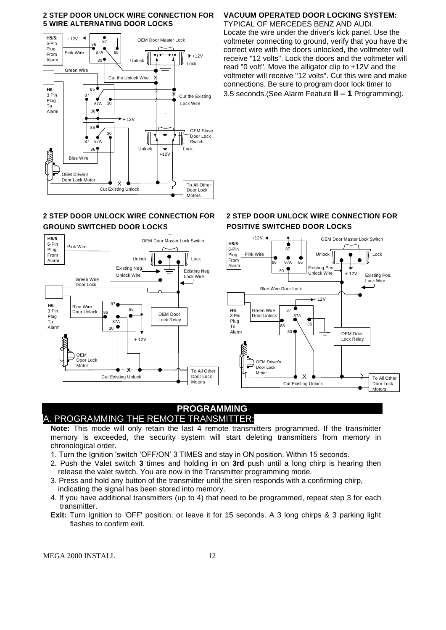#### **2 STEP DOOR UNLOCK WIRE CONNECTION FOR 5 WIRE ALTERNATING DOOR LOCKS**



## **2 STEP DOOR UNLOCK WIRE CONNECTION FOR GROUND SWITCHED DOOR LOCKS**



## **VACUUM OPERATED DOOR LOCKING SYSTEM:**

TYPICAL OF MERCEDES BENZ AND AUDI. Locate the wire under the driver's kick panel. Use the voltmeter connecting to ground, verify that you have the correct wire with the doors unlocked, the voltmeter will receive "12 volts". Lock the doors and the voltmeter will read "0 volt". Move the alligator clip to +12V and the voltmeter will receive "12 volts". Cut this wire and make connections. Be sure to program door lock timer to 3.5 seconds.(See Alarm Feature **II – 1** Programming).

#### **2 STEP DOOR UNLOCK WIRE CONNECTION FOR POSITIVE SWITCHED DOOR LOCKS**



#### **PROGRAMMING** A. PROGRAMMING THE REMOTE TRANSMITTER:

**Note:** This mode will only retain the last 4 remote transmitters programmed. If the transmitter memory is exceeded, the security system will start deleting transmitters from memory in chronological order.

- 1. Turn the Ignition 'switch 'OFF/ON' 3 TIMES and stay in ON position. Within 15 seconds.
- 2. Push the Valet switch **3** times and holding in on **3rd** push until a long chirp is hearing then release the valet switch. You are now in the Transmitter programming mode.
- 3. Press and hold any button of the transmitter until the siren responds with a confirming chirp, indicating the signal has been stored into memory.
- 4. If you have additional transmitters (up to 4) that need to be programmed, repeat step 3 for each transmitter.
- **Exit:** Turn Ignition to 'OFF' position, or leave it for 15 seconds. A 3 long chirps & 3 parking light flashes to confirm exit.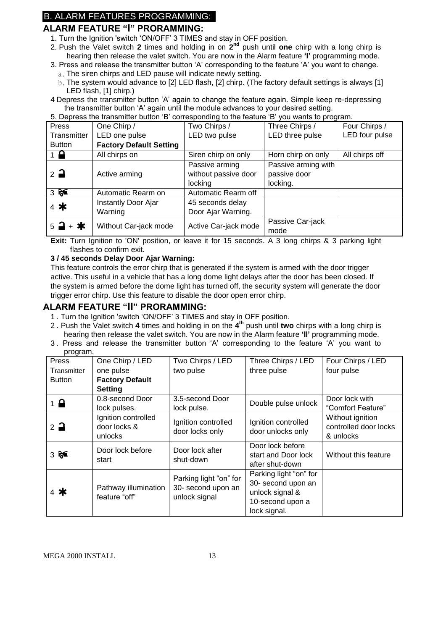## B. ALARM FEATURES PROGRAMMING:

## **ALARM FEATURE "I" PRORAMMING:**

- 1. Turn the Ignition 'switch 'ON/OFF' 3 TIMES and stay in OFF position.
- 2. Push the Valet switch 2 times and holding in on 2<sup>nd</sup> push until one chirp with a long chirp is hearing then release the valet switch. You are now in the Alarm feature **'I'** programming mode.
- 3. Press and release the transmitter button 'A' corresponding to the feature 'A' you want to change.
	- a. The siren chirps and LED pause will indicate newly setting.
	- b.The system would advance to [2] LED flash, [2] chirp. (The factory default settings is always [1] LED flash, [1] chirp.)
- 4 Depress the transmitter button 'A' again to change the feature again. Simple keep re-depressing the transmitter button 'A' again until the module advances to your desired setting.

| 5. Depress the transmitter button 'B' corresponding to the feature 'B' you wants to program. |                       |                      |                     |                |
|----------------------------------------------------------------------------------------------|-----------------------|----------------------|---------------------|----------------|
| Press                                                                                        | One Chirp /           | Two Chirps /         | Three Chirps /      | Four Chirps /  |
| Transmitter                                                                                  | LED one pulse         | LED two pulse        | LED three pulse     | LED four pulse |
| <b>Factory Default Setting</b><br><b>Button</b>                                              |                       |                      |                     |                |
| $1 \nightharpoonup$                                                                          | All chirps on         | Siren chirp on only  | Horn chirp on only  | All chirps off |
|                                                                                              |                       | Passive arming       | Passive arming with |                |
| $2\overline{a}$                                                                              | Active arming         | without passive door | passive door        |                |
|                                                                                              |                       | locking              | locking.            |                |
| 35                                                                                           | Automatic Rearm on    | Automatic Rearm off  |                     |                |
| 4 米                                                                                          | Instantly Door Ajar   | 45 seconds delay     |                     |                |
|                                                                                              | Warning               | Door Ajar Warning.   |                     |                |
| $5 - 1 + *$                                                                                  | Without Car-jack mode |                      | Passive Car-jack    |                |
|                                                                                              |                       | Active Car-jack mode | mode                |                |

**Exit:** Turn Ignition to 'ON' position, or leave it for 15 seconds. A 3 long chirps & 3 parking light flashes to confirm exit.

#### **3 / 45 seconds Delay Door Ajar Warning:**

This feature controls the error chirp that is generated if the system is armed with the door trigger active. This useful in a vehicle that has a long dome light delays after the door has been closed. If the system is armed before the dome light has turned off, the security system will generate the door trigger error chirp. Use this feature to disable the door open error chirp.

#### **ALARM FEATURE "II" PRORAMMING:**

- 1 . Turn the Ignition 'switch 'ON/OFF' 3 TIMES and stay in OFF position.
- 2 . Push the Valet switch **4** times and holding in on the **4 th** push until **two** chirps with a long chirp is hearing then release the valet switch. You are now in the Alarm feature **'II'** programming mode.
- 3 . Press and release the transmitter button 'A' corresponding to the feature 'A' you want to program.

| ັ<br>Press      | One Chirp / LED                                | Two Chirps / LED                                              | Three Chirps / LED                                                                                  | Four Chirps / LED                                      |
|-----------------|------------------------------------------------|---------------------------------------------------------------|-----------------------------------------------------------------------------------------------------|--------------------------------------------------------|
| Transmitter     | one pulse                                      | two pulse                                                     | three pulse                                                                                         | four pulse                                             |
| <b>Button</b>   | <b>Factory Default</b>                         |                                                               |                                                                                                     |                                                        |
|                 | <b>Setting</b>                                 |                                                               |                                                                                                     |                                                        |
| $1 \bigoplus$   | 0.8-second Door                                | 3.5-second Door                                               | Double pulse unlock                                                                                 | Door lock with                                         |
|                 | lock pulses.                                   | lock pulse.                                                   |                                                                                                     | "Comfort Feature"                                      |
| $2\overline{a}$ | Ignition controlled<br>door locks &<br>unlocks | Ignition controlled<br>door locks only                        | Ignition controlled<br>door unlocks only                                                            | Without ignition<br>controlled door locks<br>& unlocks |
| $3 \approx$     | Door lock before<br>start                      | Door lock after<br>shut-down                                  | Door lock before<br>start and Door lock<br>after shut-down                                          | Without this feature                                   |
| $4$ *           | Pathway illumination<br>feature "off"          | Parking light "on" for<br>30- second upon an<br>unlock signal | Parking light "on" for<br>30- second upon an<br>unlock signal &<br>10-second upon a<br>lock signal. |                                                        |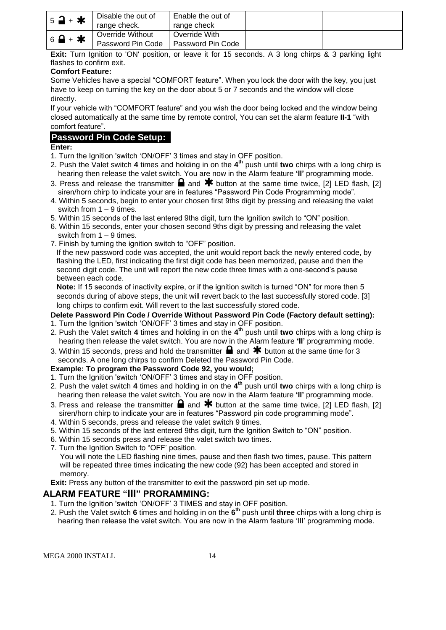| $5$ <b>a</b> + $\star$      | Disable the out of<br>range check.    | Enable the out of<br>range check   |  |
|-----------------------------|---------------------------------------|------------------------------------|--|
| $6$ $\rightarrow$ $\bullet$ | Override Without<br>Password Pin Code | Override With<br>Password Pin Code |  |

**Exit:** Turn Ignition to 'ON' position, or leave it for 15 seconds. A 3 long chirps & 3 parking light flashes to confirm exit.

#### **Comfort Feature:**

Some Vehicles have a special "COMFORT feature". When you lock the door with the key, you just have to keep on turning the key on the door about 5 or 7 seconds and the window will close directly.

If your vehicle with "COMFORT feature" and you wish the door being locked and the window being closed automatically at the same time by remote control, You can set the alarm feature **II-1** "with comfort feature".

## **Password Pin Code Setup:**

#### **Enter:**

- 1. Turn the Ignition 'switch 'ON/OFF' 3 times and stay in OFF position.
- 2. Push the Valet switch **4** times and holding in on the **4 th** push until **two** chirps with a long chirp is hearing then release the valet switch. You are now in the Alarm feature **'II'** programming mode.
- 3. Press and release the transmitter  $\blacksquare$  and  $\blacktriangleright$  button at the same time twice, [2] LED flash, [2] siren/horn chirp to indicate your are in features "Password Pin Code Programming mode".
- 4. Within 5 seconds, begin to enter your chosen first 9ths digit by pressing and releasing the valet switch from 1 – 9 times.
- 5. Within 15 seconds of the last entered 9ths digit, turn the Ignition switch to "ON" position.
- 6. Within 15 seconds, enter your chosen second 9ths digit by pressing and releasing the valet switch from 1 – 9 times.
- 7. Finish by turning the ignition switch to "OFF" position.

If the new password code was accepted, the unit would report back the newly entered code, by flashing the LED, first indicating the first digit code has been memorized, pause and then the second digit code. The unit will report the new code three times with a one-second's pause between each code.

**Note:** If 15 seconds of inactivity expire, or if the ignition switch is turned "ON" for more then 5 seconds during of above steps, the unit will revert back to the last successfully stored code. [3] long chirps to confirm exit. Will revert to the last successfully stored code.

#### **Delete Password Pin Code / Override Without Password Pin Code (Factory default setting):**

- 1. Turn the Ignition 'switch 'ON/OFF' 3 times and stay in OFF position.
- 2. Push the Valet switch **4** times and holding in on the **4 th** push until **two** chirps with a long chirp is hearing then release the valet switch. You are now in the Alarm feature **'II'** programming mode.
- 3. Within 15 seconds, press and hold the transmitter  $\Box$  and  $\bigstar$  button at the same time for 3 seconds. A one long chirps to confirm Deleted the Password Pin Code.

#### **Example: To program the Password Code 92, you would;**

- 1. Turn the Ignition 'switch 'ON/OFF' 3 times and stay in OFF position.
- 2. Push the valet switch **4** times and holding in on the **4 th** push until **two** chirps with a long chirp is hearing then release the valet switch. You are now in the Alarm feature **'II'** programming mode.
- 3. Press and release the transmitter  $\blacksquare$  and  $\clubsuit$  button at the same time twice, [2] LED flash, [2] siren/horn chirp to indicate your are in features "Password pin code programming mode".
- 4. Within 5 seconds, press and release the valet switch 9 times.
- 5. Within 15 seconds of the last entered 9ths digit, turn the Ignition Switch to "ON" position.
- 6. Within 15 seconds press and release the valet switch two times.
- 7. Turn the Ignition Switch to "OFF' position.

You will note the LED flashing nine times, pause and then flash two times, pause. This pattern will be repeated three times indicating the new code (92) has been accepted and stored in memory.

**Exit:** Press any button of the transmitter to exit the password pin set up mode.

#### **ALARM FEATURE "III" PRORAMMING:**

- 1. Turn the Ignition 'switch 'ON/OFF' 3 TIMES and stay in OFF position.
- 2. Push the Valet switch **6** times and holding in on the **6 th** push until **three** chirps with a long chirp is hearing then release the valet switch. You are now in the Alarm feature 'III' programming mode.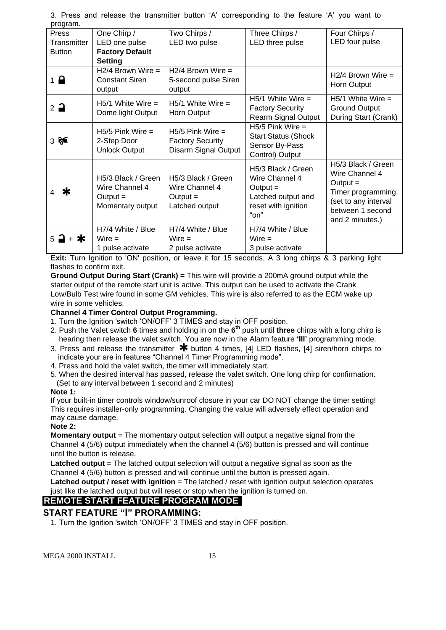| program.              |                        |                         |                            |                      |
|-----------------------|------------------------|-------------------------|----------------------------|----------------------|
| Press                 | One Chirp /            | Two Chirps /            | Three Chirps /             | Four Chirps /        |
| Transmitter           | LED one pulse          | LED two pulse           | LED three pulse            | LED four pulse       |
| <b>Button</b>         | <b>Factory Default</b> |                         |                            |                      |
|                       | <b>Setting</b>         |                         |                            |                      |
|                       | $H2/4$ Brown Wire =    | $H2/4$ Brown Wire =     |                            | $H2/4$ Brown Wire =  |
| $1 \nightharpoonup$   | <b>Constant Siren</b>  | 5-second pulse Siren    |                            |                      |
|                       | output                 | output                  |                            | Horn Output          |
|                       | $H5/1$ White Wire =    | $H5/1$ White Wire =     | $H5/1$ White Wire =        | $H5/1$ White Wire =  |
| $2\rightarrow$        |                        |                         | <b>Factory Security</b>    | <b>Ground Output</b> |
|                       | Dome light Output      | Horn Output             | <b>Rearm Signal Output</b> | During Start (Crank) |
|                       | $H5/5$ Pink Wire $=$   | $H5/5$ Pink Wire =      | $H5/5$ Pink Wire =         |                      |
| $3 \approx$           | 2-Step Door            | <b>Factory Security</b> | <b>Start Status (Shock</b> |                      |
|                       | <b>Unlock Output</b>   | Disarm Signal Output    | Sensor By-Pass             |                      |
|                       |                        |                         | Control) Output            |                      |
|                       |                        |                         | H5/3 Black / Green         | H5/3 Black / Green   |
|                       | H5/3 Black / Green     | H5/3 Black / Green      | Wire Channel 4             | Wire Channel 4       |
|                       | Wire Channel 4         | Wire Channel 4          | Output $=$                 | $Output =$           |
| Ж                     | Output $=$             | $Output =$              | Latched output and         | Timer programming    |
|                       | Momentary output       | Latched output          | reset with ignition        | (set to any interval |
|                       |                        |                         | "on"                       | between 1 second     |
|                       |                        |                         |                            | and 2 minutes.)      |
|                       | H7/4 White / Blue      | H7/4 White / Blue       | H7/4 White / Blue          |                      |
| + *<br>$5\rightarrow$ | $Wire =$               | $Wire =$                | $Wire =$                   |                      |
|                       | 1 pulse activate       | 2 pulse activate        | 3 pulse activate           |                      |

3. Press and release the transmitter button 'A' corresponding to the feature 'A' you want to program.

**Exit:** Turn Ignition to 'ON' position, or leave it for 15 seconds. A 3 long chirps & 3 parking light flashes to confirm exit.

**Ground Output During Start (Crank) =** This wire will provide a 200mA ground output while the starter output of the remote start unit is active. This output can be used to activate the Crank Low/Bulb Test wire found in some GM vehicles. This wire is also referred to as the ECM wake up wire in some vehicles.

#### **Channel 4 Timer Control Output Programming.**

- 1. Turn the Ignition 'switch 'ON/OFF' 3 TIMES and stay in OFF position.
- 2. Push the Valet switch **6** times and holding in on the **6 th** push until **three** chirps with a long chirp is hearing then release the valet switch. You are now in the Alarm feature **'III'** programming mode.
- 3. Press and release the transmitter  $*$  button 4 times, [4] LED flashes, [4] siren/horn chirps to indicate your are in features "Channel 4 Timer Programming mode".
- 4. Press and hold the valet switch, the timer will immediately start.
- 5. When the desired interval has passed, release the valet switch. One long chirp for confirmation.
- (Set to any interval between 1 second and 2 minutes)

#### **Note 1:**

If your built-in timer controls window/sunroof closure in your car DO NOT change the timer setting! This requires installer-only programming. Changing the value will adversely effect operation and may cause damage.

#### **Note 2:**

**Momentary output** = The momentary output selection will output a negative signal from the Channel 4 (5/6) output immediately when the channel 4 (5/6) button is pressed and will continue until the button is release.

**Latched output** = The latched output selection will output a negative signal as soon as the Channel 4 (5/6) button is pressed and will continue until the button is pressed again.

**Latched output / reset with ignition** = The latched / reset with ignition output selection operates just like the latched output but will reset or stop when the ignition is turned on.

## **REMOTE START FEATURE PROGRAM MODE**

## **START FEATURE "I" PRORAMMING:**

1. Turn the Ignition 'switch 'ON/OFF' 3 TIMES and stay in OFF position.

```
MEGA 2000 INSTALL 15
```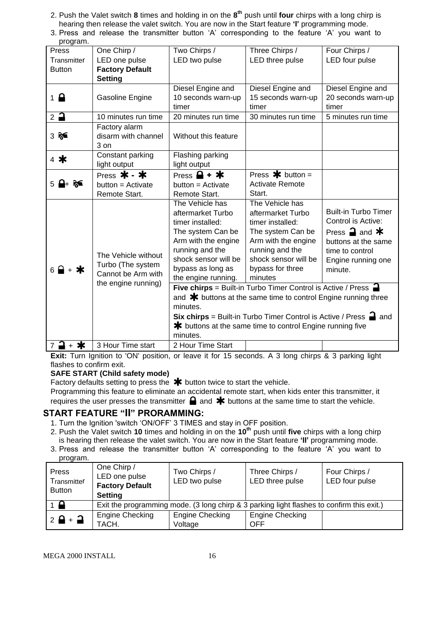- 2. Push the Valet switch **8** times and holding in on the **8 th** push until **four** chirps with a long chirp is hearing then release the valet switch. You are now in the Start feature **'I'** programming mode.
- 3. Press and release the transmitter button 'A' corresponding to the feature 'A' you want to

| program.                        |                                         |                                                                                    |                                                                                       |                                                |
|---------------------------------|-----------------------------------------|------------------------------------------------------------------------------------|---------------------------------------------------------------------------------------|------------------------------------------------|
| Press                           | One Chirp /                             | Two Chirps /                                                                       | Three Chirps /                                                                        | Four Chirps /                                  |
| Transmitter                     | LED one pulse                           | LED two pulse                                                                      | LED three pulse                                                                       | LED four pulse                                 |
| <b>Button</b>                   | <b>Factory Default</b>                  |                                                                                    |                                                                                       |                                                |
|                                 | <b>Setting</b>                          |                                                                                    |                                                                                       |                                                |
|                                 |                                         | Diesel Engine and                                                                  | Diesel Engine and                                                                     | Diesel Engine and                              |
| $1 \nightharpoonup$             | Gasoline Engine                         | 10 seconds warn-up                                                                 | 15 seconds warn-up                                                                    | 20 seconds warn-up                             |
|                                 |                                         | timer                                                                              | timer                                                                                 | timer                                          |
| $2$ $\rightarrow$               | 10 minutes run time                     | 20 minutes run time                                                                | 30 minutes run time                                                                   | 5 minutes run time                             |
|                                 | Factory alarm                           |                                                                                    |                                                                                       |                                                |
| $3 \approx$                     | disarm with channel                     | Without this feature                                                               |                                                                                       |                                                |
|                                 | $3$ on                                  |                                                                                    |                                                                                       |                                                |
| $4$ *                           | Constant parking                        | Flashing parking                                                                   |                                                                                       |                                                |
|                                 | light output                            | light output                                                                       |                                                                                       |                                                |
|                                 | Press $*$ - $*$                         | Press $\mathbf{a}$ + $\mathbf{\ast}$                                               | Press $\bigstar$ button =                                                             |                                                |
|                                 | button = Activate                       | button = Activate                                                                  | <b>Activate Remote</b>                                                                |                                                |
|                                 | Remote Start.                           | Remote Start.                                                                      | Start.                                                                                |                                                |
|                                 |                                         | The Vehicle has                                                                    | The Vehicle has                                                                       |                                                |
|                                 |                                         | aftermarket Turbo                                                                  | aftermarket Turbo                                                                     | <b>Built-in Turbo Timer</b>                    |
|                                 |                                         | timer installed:                                                                   | timer installed:                                                                      | Control is Active:                             |
|                                 |                                         | The system Can be                                                                  | The system Can be                                                                     | Press $\mathbf{\supseteq}$ and $\mathbf{\ast}$ |
|                                 |                                         | Arm with the engine                                                                | Arm with the engine                                                                   | buttons at the same                            |
|                                 | The Vehicle without                     | running and the                                                                    | running and the                                                                       | time to control                                |
|                                 | Turbo (The system<br>Cannot be Arm with | shock sensor will be                                                               | shock sensor will be                                                                  | Engine running one                             |
| $6$ $\rightarrow$ $\rightarrow$ |                                         | bypass as long as                                                                  | bypass for three                                                                      | minute.                                        |
|                                 | the engine running)                     | the engine running.                                                                | minutes                                                                               |                                                |
|                                 |                                         | <b>Five chirps</b> = Built-in Turbo Timer Control is Active / Press $\blacksquare$ |                                                                                       |                                                |
|                                 |                                         | and $*$ buttons at the same time to control Engine running three                   |                                                                                       |                                                |
|                                 |                                         | minutes.                                                                           |                                                                                       |                                                |
|                                 |                                         |                                                                                    | <b>Six chirps</b> = Built-in Turbo Timer Control is Active / Press $\blacksquare$ and |                                                |
|                                 |                                         | <b>≭</b> buttons at the same time to control Engine running five                   |                                                                                       |                                                |
|                                 |                                         | minutes.                                                                           |                                                                                       |                                                |
| ⊒ + ≭<br>$\overline{7}$         | 3 Hour Time start                       | 2 Hour Time Start                                                                  |                                                                                       |                                                |

**Exit:** Turn Ignition to 'ON' position, or leave it for 15 seconds. A 3 long chirps & 3 parking light flashes to confirm exit.

#### **SAFE START (Child safety mode)**

Factory defaults setting to press the  $*$  button twice to start the vehicle.

Programming this feature to eliminate an accidental remote start, when kids enter this transmitter, it requires the user presses the transmitter  $\blacksquare$  and  $\blacktriangleright$  buttons at the same time to start the vehicle.

## **START FEATURE "II" PRORAMMING:**

- 1. Turn the Ignition 'switch 'ON/OFF' 3 TIMES and stay in OFF position.
- 2. Push the Valet switch **10** times and holding in on the **10th** push until **five** chirps with a long chirp is hearing then release the valet switch. You are now in the Start feature **'II'** programming mode.
- 3. Press and release the transmitter button 'A' corresponding to the feature 'A' you want to program.

| Press<br>Transmitter<br><b>Button</b> | One Chirp /<br>LED one pulse<br><b>Factory Default</b><br><b>Setting</b>                  | Two Chirps /<br>LED two pulse     | Three Chirps /<br>LED three pulse | Four Chirps /<br>LED four pulse |
|---------------------------------------|-------------------------------------------------------------------------------------------|-----------------------------------|-----------------------------------|---------------------------------|
| $1 \bullet$                           | Exit the programming mode. (3 long chirp & 3 parking light flashes to confirm this exit.) |                                   |                                   |                                 |
| $2$ $\theta$ + $\theta$               | Engine Checking<br>TACH.                                                                  | <b>Engine Checking</b><br>Voltage | Engine Checking<br><b>OFF</b>     |                                 |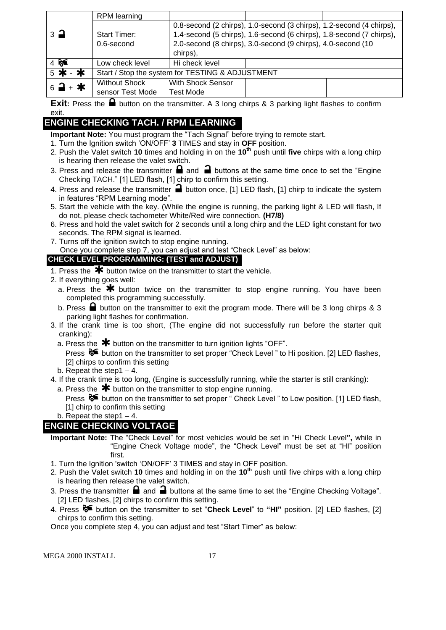|                               | <b>RPM</b> learning                              |                          |                                                                      |  |
|-------------------------------|--------------------------------------------------|--------------------------|----------------------------------------------------------------------|--|
|                               |                                                  |                          | 0.8-second (2 chirps), 1.0-second (3 chirps), 1.2-second (4 chirps), |  |
| $\overline{3}$ $\overline{4}$ | <b>Start Timer:</b>                              |                          | 1.4-second (5 chirps), 1.6-second (6 chirps), 1.8-second (7 chirps), |  |
|                               | $0.6$ -second                                    |                          | 2.0-second (8 chirps), 3.0-second (9 chirps), 4.0-second (10         |  |
|                               |                                                  | chirps),                 |                                                                      |  |
| $4$ $\approx$                 | Low check level                                  | Hi check level           |                                                                      |  |
| 5 米 - 米                       | Start / Stop the system for TESTING & ADJUSTMENT |                          |                                                                      |  |
| $6 - 4$                       | <b>Without Shock</b>                             | <b>With Shock Sensor</b> |                                                                      |  |
|                               | sensor Test Mode                                 | <b>Test Mode</b>         |                                                                      |  |

**Exit:** Press the **a** button on the transmitter. A 3 long chirps & 3 parking light flashes to confirm exit.

## **ENGINE CHECKING TACH. / RPM LEARNING**

**Important Note:** You must program the "Tach Signal" before trying to remote start.

- 1. Turn the Ignition switch 'ON/OFF' **3** TIMES and stay in **OFF** position.
- 2. Push the Valet switch **10** times and holding in on the **10th** push until **five** chirps with a long chirp is hearing then release the valet switch.
- 3. Press and release the transmitter  $\blacksquare$  and  $\blacksquare$  buttons at the same time once to set the "Engine Checking TACH." [1] LED flash, [1] chirp to confirm this setting.
- 4. Press and release the transmitter **a** button once, [1] LED flash, [1] chirp to indicate the system in features "RPM Learning mode".
- 5. Start the vehicle with the key. (While the engine is running, the parking light & LED will flash, If do not, please check tachometer White/Red wire connection. **(H7/8)**
- 6. Press and hold the valet switch for 2 seconds until a long chirp and the LED light constant for two seconds. The RPM signal is learned.
- 7. Turns off the ignition switch to stop engine running.

Once you complete step 7, you can adjust and test "Check Level" as below:

## **CHECK LEVEL PROGRAMMING: (TEST and ADJUST)**

- 1. Press the  $*$  button twice on the transmitter to start the vehicle.
- 2. If everything goes well:
	- a. Press the  $\clubsuit$  button twice on the transmitter to stop engine running. You have been completed this programming successfully.
	- b. Press  $\blacksquare$  button on the transmitter to exit the program mode. There will be 3 long chirps & 3 parking light flashes for confirmation.
- 3. If the crank time is too short, (The engine did not successfully run before the starter quit cranking):
	- a. Press the  $*$  button on the transmitter to turn ignition lights "OFF".

Press  $\delta$  button on the transmitter to set proper "Check Level" to Hi position. [2] LED flashes, [2] chirps to confirm this setting

- b. Repeat the step  $1 4$ .
- 4. If the crank time is too long, (Engine is successfully running, while the starter is still cranking):
- a. Press the  $*$  button on the transmitter to stop engine running.

Press  $\mathcal{F}$  button on the transmitter to set proper " Check Level " to Low position. [1] LED flash, [1] chirp to confirm this setting

b. Repeat the step1 – 4.

## **ENGINE CHECKING VOLTAGE**

- **Important Note:** The "Check Level" for most vehicles would be set in "Hi Check Level**",** while in "Engine Check Voltage mode", the "Check Level" must be set at "HI" position first.
- 1. Turn the Ignition 'switch 'ON/OFF' 3 TIMES and stay in OFF position.
- 2. Push the Valet switch **10** times and holding in on the **10th** push until five chirps with a long chirp is hearing then release the valet switch.
- 3. Press the transmitter  $\Box$  and  $\Box$  buttons at the same time to set the "Engine Checking Voltage". [2] LED flashes, [2] chirps to confirm this setting.
- 4. Press button on the transmitter to set "**Check Level**" to **"HI"** position. [2] LED flashes, [2] chirps to confirm this setting.

Once you complete step 4, you can adjust and test "Start Timer" as below: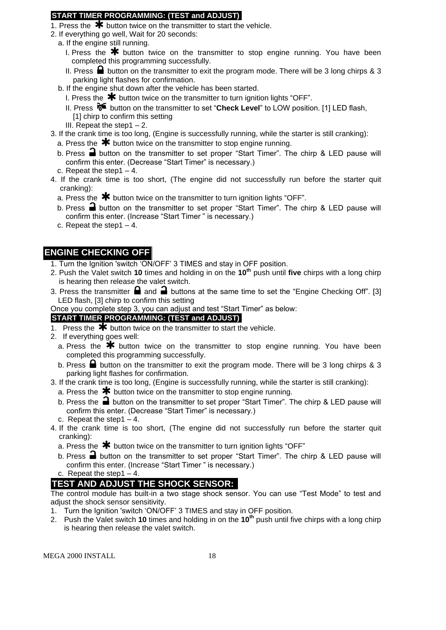#### **START TIMER PROGRAMMING: (TEST and ADJUST)**

- 1. Press the  $\bigstar$  button twice on the transmitter to start the vehicle.
- 2. If everything go well, Wait for 20 seconds:
- a. If the engine still running.
	- I. Press the  $*$  button twice on the transmitter to stop engine running. You have been completed this programming successfully.
	- II. Press  $\blacksquare$  button on the transmitter to exit the program mode. There will be 3 long chirps & 3 parking light flashes for confirmation.
- b. If the engine shut down after the vehicle has been started.
	- I. Press the  $*$  button twice on the transmitter to turn ignition lights "OFF".
	- II. Press <sup>8€</sup> button on the transmitter to set "**Check Level**" to LOW position. [1] LED flash, [1] chirp to confirm this setting
	- III. Repeat the step1 $-2$ .
- 3. If the crank time is too long, (Engine is successfully running, while the starter is still cranking):
	- a. Press the  $*$  button twice on the transmitter to stop engine running.
	- b. Press  $\Box$  button on the transmitter to set proper "Start Timer". The chirp & LED pause will confirm this enter. (Decrease "Start Timer" is necessary.)
	- c. Repeat the step1 4.
- 4. If the crank time is too short, (The engine did not successfully run before the starter quit cranking):
	- a. Press the  $\mathbf{\divideontimes}$  button twice on the transmitter to turn ignition lights "OFF".
	- b. Press  $\blacksquare$  button on the transmitter to set proper "Start Timer". The chirp & LED pause will confirm this enter. (Increase "Start Timer " is necessary.)
	- c. Repeat the step1 4.

## **ENGINE CHECKING OFF**

- 1. Turn the Ignition 'switch 'ON/OFF' 3 TIMES and stay in OFF position.
- 2. Push the Valet switch **10** times and holding in on the **10th** push until **five** chirps with a long chirp is hearing then release the valet switch.
- 3. Press the transmitter  $\blacksquare$  and  $\blacksquare$  buttons at the same time to set the "Engine Checking Off". [3] LED flash, [3] chirp to confirm this setting
- Once you complete step 3, you can adjust and test "Start Timer" as below:

## **START TIMER PROGRAMMING: (TEST and ADJUST)**

- 1. Press the  $\overline{\mathbf{*}}$  button twice on the transmitter to start the vehicle.
- 2. If everything goes well:
	- a. Press the  $*$  button twice on the transmitter to stop engine running. You have been completed this programming successfully.
	- b. Press  $\blacksquare$  button on the transmitter to exit the program mode. There will be 3 long chirps & 3 parking light flashes for confirmation.
- 3. If the crank time is too long, (Engine is successfully running, while the starter is still cranking):
	- a. Press the  $\bigstar$  button twice on the transmitter to stop engine running.
	- b. Press the  $\blacksquare$  button on the transmitter to set proper "Start Timer". The chirp & LED pause will confirm this enter. (Decrease "Start Timer" is necessary.)
	- c. Repeat the step  $1 4$ .
- 4. If the crank time is too short, (The engine did not successfully run before the starter quit cranking):
	- a. Press the  $\bigstar$  button twice on the transmitter to turn ignition lights "OFF"
	- b. Press  $\triangleq$  button on the transmitter to set proper "Start Timer". The chirp & LED pause will confirm this enter. (Increase "Start Timer " is necessary.)
	- c. Repeat the step1 $-4$ .

## **TEST AND ADJUST THE SHOCK SENSOR:**

The control module has built-in a two stage shock sensor. You can use "Test Mode" to test and adjust the shock sensor sensitivity.

- 1. Turn the Ignition 'switch 'ON/OFF' 3 TIMES and stay in OFF position.
- 2. Push the Valet switch **10** times and holding in on the **10th** push until five chirps with a long chirp is hearing then release the valet switch.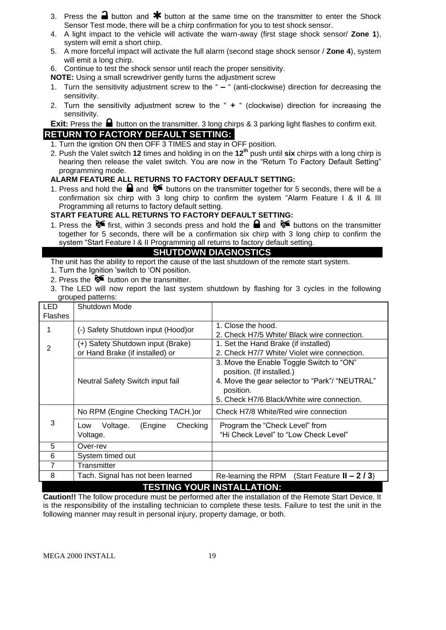- 3. Press the **a** button and  $\mathbf{\textbf{*}}$  button at the same time on the transmitter to enter the Shock Sensor Test mode, there will be a chirp confirmation for you to test shock sensor.
- 4. A light impact to the vehicle will activate the warn-away (first stage shock sensor/ **Zone 1**), system will emit a short chirp.
- 5. A more forceful impact will activate the full alarm (second stage shock sensor / **Zone 4**), system will emit a long chirp.
- 6. Continue to test the shock sensor until reach the proper sensitivity.
- **NOTE:** Using a small screwdriver gently turns the adjustment screw
- 1. Turn the sensitivity adjustment screw to the " **–** " (anti-clockwise) direction for decreasing the sensitivity.
- 2. Turn the sensitivity adjustment screw to the " **+** " (clockwise) direction for increasing the sensitivity.

**Exit:** Press the **b**utton on the transmitter. 3 long chirps & 3 parking light flashes to confirm exit. **RETURN TO FACTORY DEFAULT SETTING:**

- 1. Turn the ignition ON then OFF 3 TIMES and stay in OFF position.
- 2. Push the Valet switch **12** times and holding in on the **12th** push until **six** chirps with a long chirp is hearing then release the valet switch. You are now in the "Return To Factory Default Setting" programming mode.

#### **ALARM FEATURE ALL RETURNS TO FACTORY DEFAULT SETTING:**

1. Press and hold the  $\blacksquare$  and  $\blacklozenge \blacklozenge$  buttons on the transmitter together for 5 seconds, there will be a confirmation six chirp with 3 long chirp to confirm the system "Alarm Feature I & II & III Programming all returns to factory default setting.

#### **START FEATURE ALL RETURNS TO FACTORY DEFAULT SETTING:**

1. Press the  $\delta$  first, within 3 seconds press and hold the **a** and  $\delta$  buttons on the transmitter together for 5 seconds, there will be a confirmation six chirp with 3 long chirp to confirm the system "Start Feature I & II Programming all returns to factory default setting.

## **SHUTDOWN DIAGNOSTICS**

The unit has the ability to report the cause of the last shutdown of the remote start system.

- 1. Turn the Ignition 'switch to 'ON position.
- 2. Press the  $\delta$  button on the transmitter.
- 3. The LED will now report the last system shutdown by flashing for 3 cycles in the following grouped patterns:

| <b>LED</b><br><b>Flashes</b> | Shutdown Mode                                                        |                                                                                                                                                                                    |  |  |
|------------------------------|----------------------------------------------------------------------|------------------------------------------------------------------------------------------------------------------------------------------------------------------------------------|--|--|
|                              | (-) Safety Shutdown input (Hood)or                                   | 1. Close the hood.<br>2. Check H7/5 White/ Black wire connection.                                                                                                                  |  |  |
| 2                            | (+) Safety Shutdown input (Brake)<br>or Hand Brake (if installed) or | 1. Set the Hand Brake (if installed)<br>2. Check H7/7 White/ Violet wire connection.                                                                                               |  |  |
|                              | Neutral Safety Switch input fail                                     | 3. Move the Enable Toggle Switch to "ON"<br>position. (If installed.)<br>4. Move the gear selector to "Park"/ "NEUTRAL"<br>position.<br>5. Check H7/6 Black/White wire connection. |  |  |
|                              | No RPM (Engine Checking TACH.) or                                    | Check H7/8 White/Red wire connection                                                                                                                                               |  |  |
| 3                            | Checking<br>Voltage.<br>(Engine<br>Low<br>Voltage.                   | Program the "Check Level" from<br>"Hi Check Level" to "Low Check Level"                                                                                                            |  |  |
| 5                            | Over-rev                                                             |                                                                                                                                                                                    |  |  |
| 6                            | System timed out                                                     |                                                                                                                                                                                    |  |  |
| $\overline{7}$               | Transmitter                                                          |                                                                                                                                                                                    |  |  |
| 8                            | Tach. Signal has not been learned                                    | (Start Feature $II - 2/3$ )<br>Re-learning the RPM                                                                                                                                 |  |  |
|                              | <b>TESTING YOUR INSTALLATION:</b>                                    |                                                                                                                                                                                    |  |  |

**Caution!!** The follow procedure must be performed after the installation of the Remote Start Device. It is the responsibility of the installing technician to complete these tests. Failure to test the unit in the following manner may result in personal injury, property damage, or both.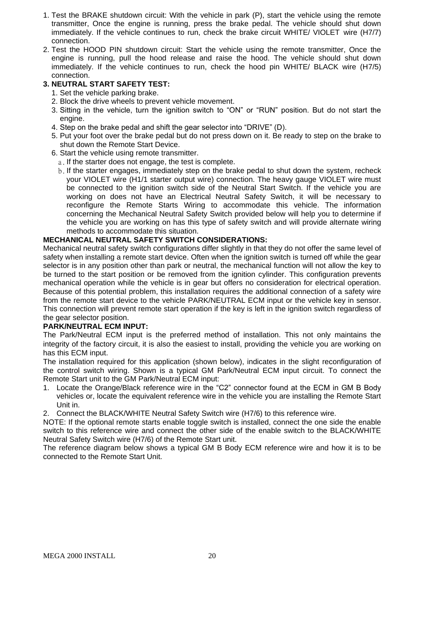- 1. Test the BRAKE shutdown circuit: With the vehicle in park (P), start the vehicle using the remote transmitter, Once the engine is running, press the brake pedal. The vehicle should shut down immediately. If the vehicle continues to run, check the brake circuit WHITE/ VIOLET wire (H7/7) connection.
- 2. Test the HOOD PIN shutdown circuit: Start the vehicle using the remote transmitter, Once the engine is running, pull the hood release and raise the hood. The vehicle should shut down immediately. If the vehicle continues to run, check the hood pin WHITE/ BLACK wire (H7/5) connection.

#### **3. NEUTRAL START SAFETY TEST:**

- 1. Set the vehicle parking brake.
- 2. Block the drive wheels to prevent vehicle movement.
- 3. Sitting in the vehicle, turn the ignition switch to "ON" or "RUN" position. But do not start the engine.
- 4. Step on the brake pedal and shift the gear selector into "DRIVE" (D).
- 5. Put your foot over the brake pedal but do not press down on it. Be ready to step on the brake to shut down the Remote Start Device.
- 6. Start the vehicle using remote transmitter.
	- a. If the starter does not engage, the test is complete.
	- b. If the starter engages, immediately step on the brake pedal to shut down the system, recheck your VIOLET wire (H1/1 starter output wire) connection. The heavy gauge VIOLET wire must be connected to the ignition switch side of the Neutral Start Switch. If the vehicle you are working on does not have an Electrical Neutral Safety Switch, it will be necessary to reconfigure the Remote Starts Wiring to accommodate this vehicle. The information concerning the Mechanical Neutral Safety Switch provided below will help you to determine if the vehicle you are working on has this type of safety switch and will provide alternate wiring methods to accommodate this situation.

#### **MECHANICAL NEUTRAL SAFETY SWITCH CONSIDERATIONS:**

Mechanical neutral safety switch configurations differ slightly in that they do not offer the same level of safety when installing a remote start device. Often when the ignition switch is turned off while the gear selector is in any position other than park or neutral, the mechanical function will not allow the key to be turned to the start position or be removed from the ignition cylinder. This configuration prevents mechanical operation while the vehicle is in gear but offers no consideration for electrical operation. Because of this potential problem, this installation requires the additional connection of a safety wire from the remote start device to the vehicle PARK/NEUTRAL ECM input or the vehicle key in sensor. This connection will prevent remote start operation if the key is left in the ignition switch regardless of the gear selector position.

#### **PARK/NEUTRAL ECM INPUT:**

The Park/Neutral ECM input is the preferred method of installation. This not only maintains the integrity of the factory circuit, it is also the easiest to install, providing the vehicle you are working on has this ECM input.

The installation required for this application (shown below), indicates in the slight reconfiguration of the control switch wiring. Shown is a typical GM Park/Neutral ECM input circuit. To connect the Remote Start unit to the GM Park/Neutral ECM input:

- 1. Locate the Orange/Black reference wire in the "C2" connector found at the ECM in GM B Body vehicles or, locate the equivalent reference wire in the vehicle you are installing the Remote Start Unit in.
- 2. Connect the BLACK/WHITE Neutral Safety Switch wire (H7/6) to this reference wire.

NOTE: If the optional remote starts enable toggle switch is installed, connect the one side the enable switch to this reference wire and connect the other side of the enable switch to the BLACK/WHITE Neutral Safety Switch wire (H7/6) of the Remote Start unit.

The reference diagram below shows a typical GM B Body ECM reference wire and how it is to be connected to the Remote Start Unit.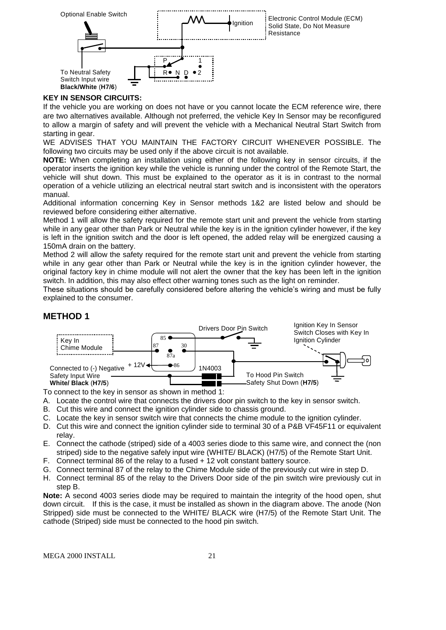

#### **KEY IN SENSOR CIRCUITS:**

If the vehicle you are working on does not have or you cannot locate the ECM reference wire, there are two alternatives available. Although not preferred, the vehicle Key In Sensor may be reconfigured to allow a margin of safety and will prevent the vehicle with a Mechanical Neutral Start Switch from starting in gear.

WE ADVISES THAT YOU MAINTAIN THE FACTORY CIRCUIT WHENEVER POSSIBLE. The following two circuits may be used only if the above circuit is not available.

**NOTE:** When completing an installation using either of the following key in sensor circuits, if the operator inserts the ignition key while the vehicle is running under the control of the Remote Start, the vehicle will shut down. This must be explained to the operator as it is in contrast to the normal operation of a vehicle utilizing an electrical neutral start switch and is inconsistent with the operators manual.

Additional information concerning Key in Sensor methods 1&2 are listed below and should be reviewed before considering either alternative.

Method 1 will allow the safety required for the remote start unit and prevent the vehicle from starting while in any gear other than Park or Neutral while the key is in the ignition cylinder however, if the key is left in the ignition switch and the door is left opened, the added relay will be energized causing a 150mA drain on the battery.

Method 2 will allow the safety required for the remote start unit and prevent the vehicle from starting while in any gear other than Park or Neutral while the key is in the ignition cylinder however, the original factory key in chime module will not alert the owner that the key has been left in the ignition switch. In addition, this may also effect other warning tones such as the light on reminder.

These situations should be carefully considered before altering the vehicle's wiring and must be fully explained to the consumer.

#### **METHOD 1**



To connect to the key in sensor as shown in method 1:

A. Locate the control wire that connects the drivers door pin switch to the key in sensor switch.

- B. Cut this wire and connect the ignition cylinder side to chassis ground.
- C. Locate the key in sensor switch wire that connects the chime module to the ignition cylinder.
- D. Cut this wire and connect the ignition cylinder side to terminal 30 of a P&B VF45F11 or equivalent relay.
- E. Connect the cathode (striped) side of a 4003 series diode to this same wire, and connect the (non striped) side to the negative safely input wire (WHITE/ BLACK) (H7/5) of the Remote Start Unit.
- F. Connect terminal 86 of the relay to a fused + 12 volt constant battery source.
- G. Connect terminal 87 of the relay to the Chime Module side of the previously cut wire in step D.
- H. Connect terminal 85 of the relay to the Drivers Door side of the pin switch wire previously cut in step B.

**Note:** A second 4003 series diode may be required to maintain the integrity of the hood open, shut down circuit. If this is the case, it must be installed as shown in the diagram above. The anode (Non Stripped) side must be connected to the WHITE/ BLACK wire (H7/5) of the Remote Start Unit. The cathode (Striped) side must be connected to the hood pin switch.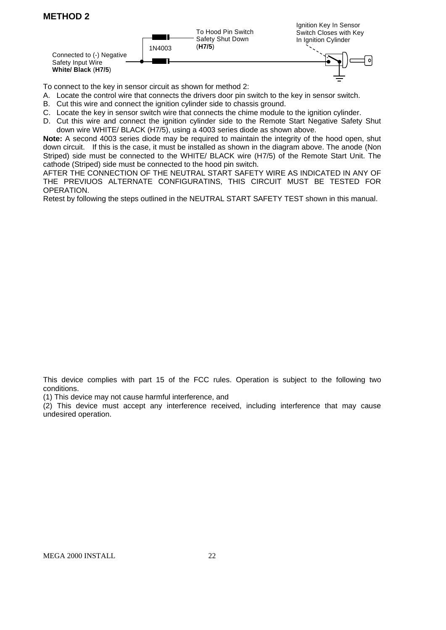## **METHOD 2**



To connect to the key in sensor circuit as shown for method 2:

- A. Locate the control wire that connects the drivers door pin switch to the key in sensor switch.
- B. Cut this wire and connect the ignition cylinder side to chassis ground.
- C. Locate the key in sensor switch wire that connects the chime module to the ignition cylinder.
- D. Cut this wire and connect the ignition cylinder side to the Remote Start Negative Safety Shut down wire WHITE/ BLACK (H7/5), using a 4003 series diode as shown above.

**Note:** A second 4003 series diode may be required to maintain the integrity of the hood open, shut down circuit. If this is the case, it must be installed as shown in the diagram above. The anode (Non Striped) side must be connected to the WHITE/ BLACK wire (H7/5) of the Remote Start Unit. The cathode (Striped) side must be connected to the hood pin switch.

AFTER THE CONNECTION OF THE NEUTRAL START SAFETY WIRE AS INDICATED IN ANY OF THE PREVIUOS ALTERNATE CONFIGURATINS, THIS CIRCUIT MUST BE TESTED FOR OPERATION.

Retest by following the steps outlined in the NEUTRAL START SAFETY TEST shown in this manual.

This device complies with part 15 of the FCC rules. Operation is subject to the following two conditions.

(1) This device may not cause harmful interference, and

(2) This device must accept any interference received, including interference that may cause undesired operation.